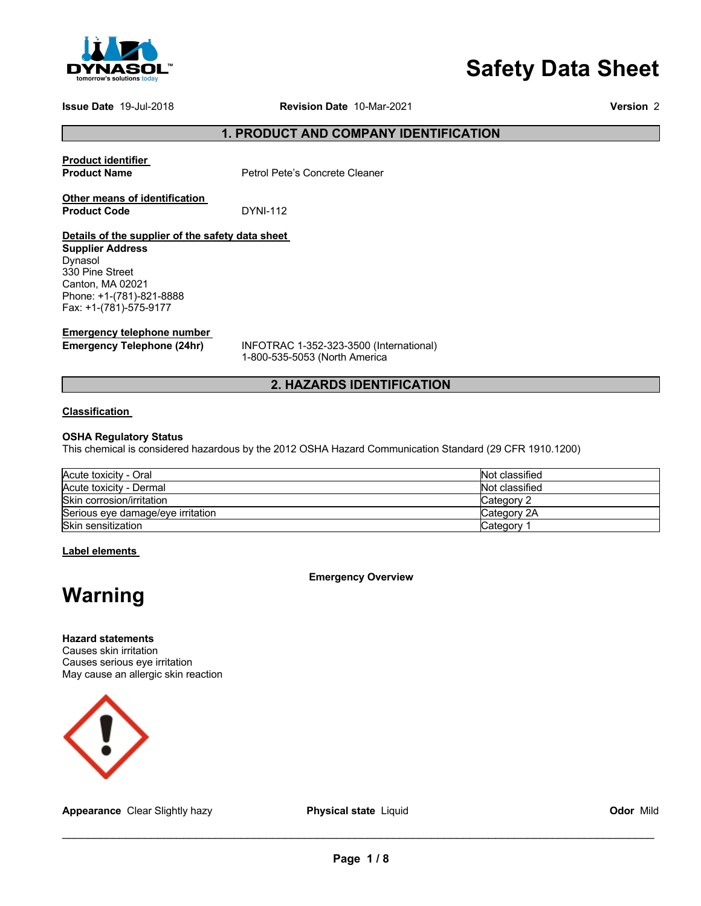

# **Safety Data Sheet**

**Issue Date** 19-Jul-2018 **Revision Date** 10-Mar-2021 **Version** 2

**1. PRODUCT AND COMPANY IDENTIFICATION** 

**Product identifier** 

**Product Name Petrol Pete's Concrete Cleaner** 

**Other means of identification Product Code DYNI-112** 

# **Details of the supplier of the safety data sheet**

**Supplier Address** Dynasol 330 Pine Street Canton, MA 02021 Phone: +1-(781)-821-8888 Fax: +1-(781)-575-9177

**Emergency telephone number** 

**Emergency Telephone (24hr)** INFOTRAC 1-352-323-3500 (International) 1-800-535-5053 (North America

# **2. HAZARDS IDENTIFICATION**

# **Classification**

# **OSHA Regulatory Status**

This chemical is considered hazardous by the 2012 OSHA Hazard Communication Standard (29 CFR 1910.1200)

| Acute toxicity - Oral             | Not classified |
|-----------------------------------|----------------|
| Acute toxicity - Dermal           | Not classified |
| Skin corrosion/irritation         | Category 2     |
| Serious eye damage/eye irritation | Category 2A    |
| Skin sensitization                | Category       |

**Label elements** 

**Emergency Overview** 

# **Warning**

**Hazard statements** Causes skin irritation Causes serious eye irritation May cause an allergic skin reaction



**Appearance** Clear Slightly hazy **Physical state** Liquid **Odor** Mild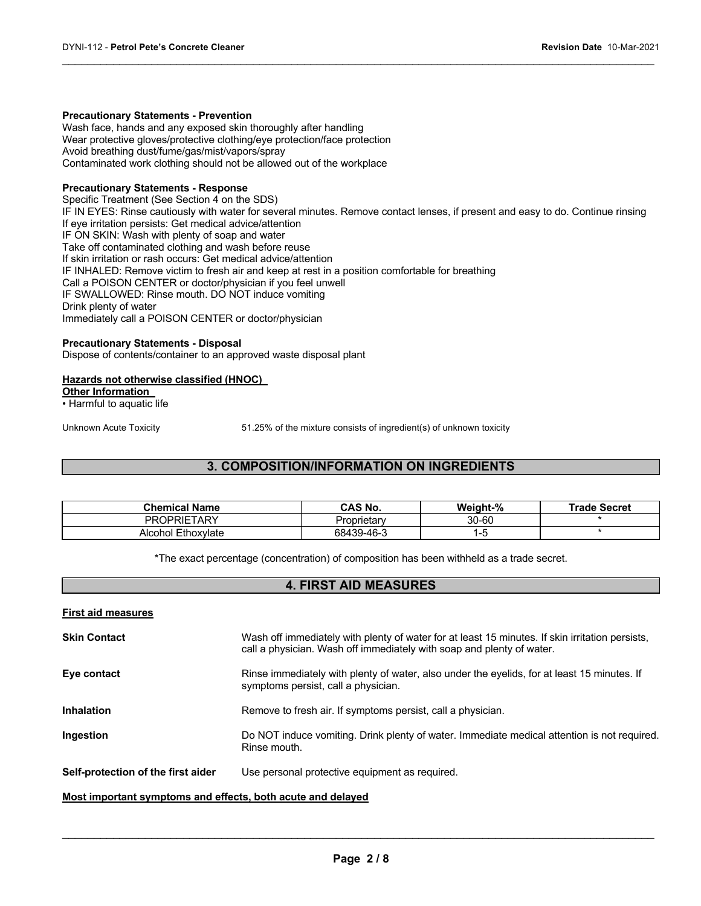#### **Precautionary Statements - Prevention**

Wash face, hands and any exposed skin thoroughly after handling Wear protective gloves/protective clothing/eye protection/face protection Avoid breathing dust/fume/gas/mist/vapors/spray Contaminated work clothing should not be allowed out of the workplace

# **Precautionary Statements - Response**

Specific Treatment (See Section 4 on the SDS) IF IN EYES: Rinse cautiously with water for several minutes. Remove contact lenses, if present and easy to do. Continue rinsing If eye irritation persists: Get medical advice/attention IF ON SKIN: Wash with plenty of soap and water Take off contaminated clothing and wash before reuse If skin irritation or rash occurs: Get medical advice/attention IF INHALED: Remove victim to fresh air and keep at rest in a position comfortable for breathing Call a POISON CENTER or doctor/physician if you feel unwell IF SWALLOWED: Rinse mouth. DO NOT induce vomiting Drink plenty of water Immediately call a POISON CENTER or doctor/physician

 $\mathcal{L}_\mathcal{L} = \mathcal{L}_\mathcal{L} = \mathcal{L}_\mathcal{L} = \mathcal{L}_\mathcal{L} = \mathcal{L}_\mathcal{L} = \mathcal{L}_\mathcal{L} = \mathcal{L}_\mathcal{L} = \mathcal{L}_\mathcal{L} = \mathcal{L}_\mathcal{L} = \mathcal{L}_\mathcal{L} = \mathcal{L}_\mathcal{L} = \mathcal{L}_\mathcal{L} = \mathcal{L}_\mathcal{L} = \mathcal{L}_\mathcal{L} = \mathcal{L}_\mathcal{L} = \mathcal{L}_\mathcal{L} = \mathcal{L}_\mathcal{L}$ 

#### **Precautionary Statements - Disposal**

Dispose of contents/container to an approved waste disposal plant

### **Hazards not otherwise classified (HNOC)**

**Other Information** 

• Harmful to aquatic life

Unknown Acute Toxicity 51.25% of the mixture consists of ingredient(s) of unknown toxicity

# **3. COMPOSITION/INFORMATION ON INGREDIENTS**

| <b>Chemical Name</b> | CAS No.     | Weight-% | <b>Trade Secret</b> |
|----------------------|-------------|----------|---------------------|
| <b>PROPRIETARY</b>   | Proprietarv | 30-60    |                     |
| Alcohol Ethoxylate   | 68439-46-3  | ت−∵      |                     |

\*The exact percentage (concentration) of composition has been withheld as a trade secret.

# **4. FIRST AID MEASURES**

| <b>First aid measures</b>                                   |                                                                                                                                                                          |
|-------------------------------------------------------------|--------------------------------------------------------------------------------------------------------------------------------------------------------------------------|
| <b>Skin Contact</b>                                         | Wash off immediately with plenty of water for at least 15 minutes. If skin irritation persists,<br>call a physician. Wash off immediately with soap and plenty of water. |
| Eye contact                                                 | Rinse immediately with plenty of water, also under the eyelids, for at least 15 minutes. If<br>symptoms persist, call a physician.                                       |
| <b>Inhalation</b>                                           | Remove to fresh air. If symptoms persist, call a physician.                                                                                                              |
| Ingestion                                                   | Do NOT induce vomiting. Drink plenty of water. Immediate medical attention is not required.<br>Rinse mouth.                                                              |
| Self-protection of the first aider                          | Use personal protective equipment as required.                                                                                                                           |
| Most important symptoms and effects, both acute and delayed |                                                                                                                                                                          |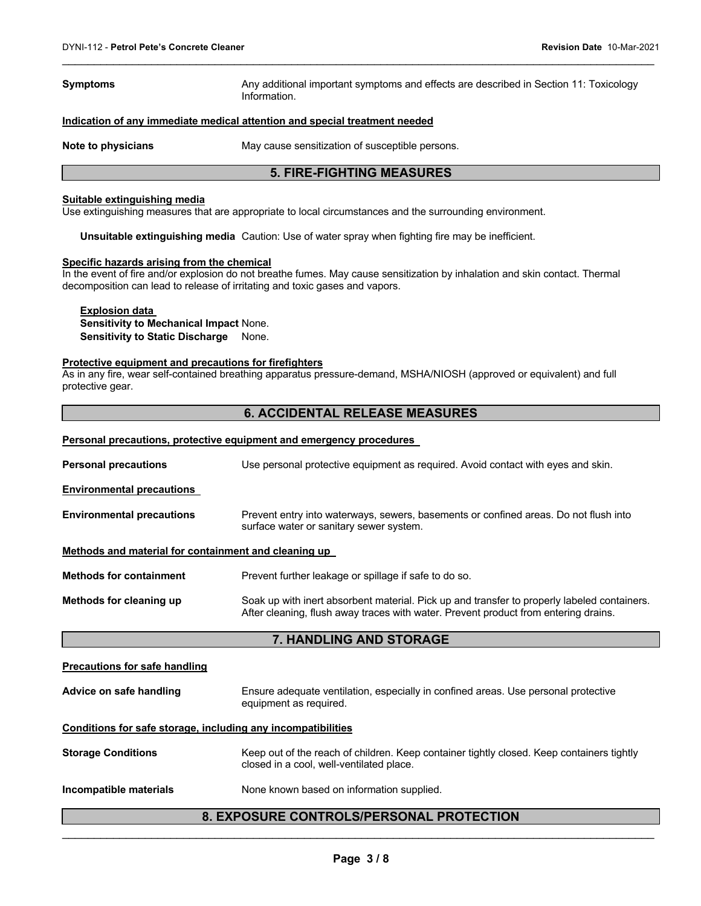**Symptoms Any additional important symptoms and effects are described in Section 11: Toxicology** Information.

#### **Indication of any immediate medical attention and special treatment needed**

**Note to physicians May cause sensitization of susceptible persons.** 

# **5. FIRE-FIGHTING MEASURES**

 $\mathcal{L}_\mathcal{L} = \mathcal{L}_\mathcal{L} = \mathcal{L}_\mathcal{L} = \mathcal{L}_\mathcal{L} = \mathcal{L}_\mathcal{L} = \mathcal{L}_\mathcal{L} = \mathcal{L}_\mathcal{L} = \mathcal{L}_\mathcal{L} = \mathcal{L}_\mathcal{L} = \mathcal{L}_\mathcal{L} = \mathcal{L}_\mathcal{L} = \mathcal{L}_\mathcal{L} = \mathcal{L}_\mathcal{L} = \mathcal{L}_\mathcal{L} = \mathcal{L}_\mathcal{L} = \mathcal{L}_\mathcal{L} = \mathcal{L}_\mathcal{L}$ 

### **Suitable extinguishing media**

Use extinguishing measures that are appropriate to local circumstances and the surrounding environment.

**Unsuitable extinguishing media** Caution: Use of water spray when fighting fire may be inefficient.

#### **Specific hazards arising from the chemical**

In the event of fire and/or explosion do not breathe fumes. May cause sensitization by inhalation and skin contact. Thermal decomposition can lead to release of irritating and toxic gases and vapors.

**Explosion data Sensitivity to Mechanical Impact** None. **Sensitivity to Static Discharge** None.

#### **Protective equipment and precautions for firefighters**

As in any fire, wear self-contained breathing apparatus pressure-demand, MSHA/NIOSH (approved or equivalent) and full protective gear.

# **6. ACCIDENTAL RELEASE MEASURES**

#### **Personal precautions, protective equipment and emergency procedures**

| <b>Personal precautions</b>                                  | Use personal protective equipment as required. Avoid contact with eyes and skin.                                                                                                   |  |
|--------------------------------------------------------------|------------------------------------------------------------------------------------------------------------------------------------------------------------------------------------|--|
| <b>Environmental precautions</b>                             |                                                                                                                                                                                    |  |
| <b>Environmental precautions</b>                             | Prevent entry into waterways, sewers, basements or confined areas. Do not flush into<br>surface water or sanitary sewer system.                                                    |  |
| Methods and material for containment and cleaning up         |                                                                                                                                                                                    |  |
| <b>Methods for containment</b>                               | Prevent further leakage or spillage if safe to do so.                                                                                                                              |  |
| Methods for cleaning up                                      | Soak up with inert absorbent material. Pick up and transfer to properly labeled containers.<br>After cleaning, flush away traces with water. Prevent product from entering drains. |  |
|                                                              | 7. HANDLING AND STORAGE                                                                                                                                                            |  |
| <b>Precautions for safe handling</b>                         |                                                                                                                                                                                    |  |
| Advice on safe handling                                      | Ensure adequate ventilation, especially in confined areas. Use personal protective<br>equipment as required.                                                                       |  |
| Conditions for safe storage, including any incompatibilities |                                                                                                                                                                                    |  |
|                                                              |                                                                                                                                                                                    |  |
| <b>Storage Conditions</b>                                    | Keep out of the reach of children. Keep container tightly closed. Keep containers tightly<br>closed in a cool, well-ventilated place.                                              |  |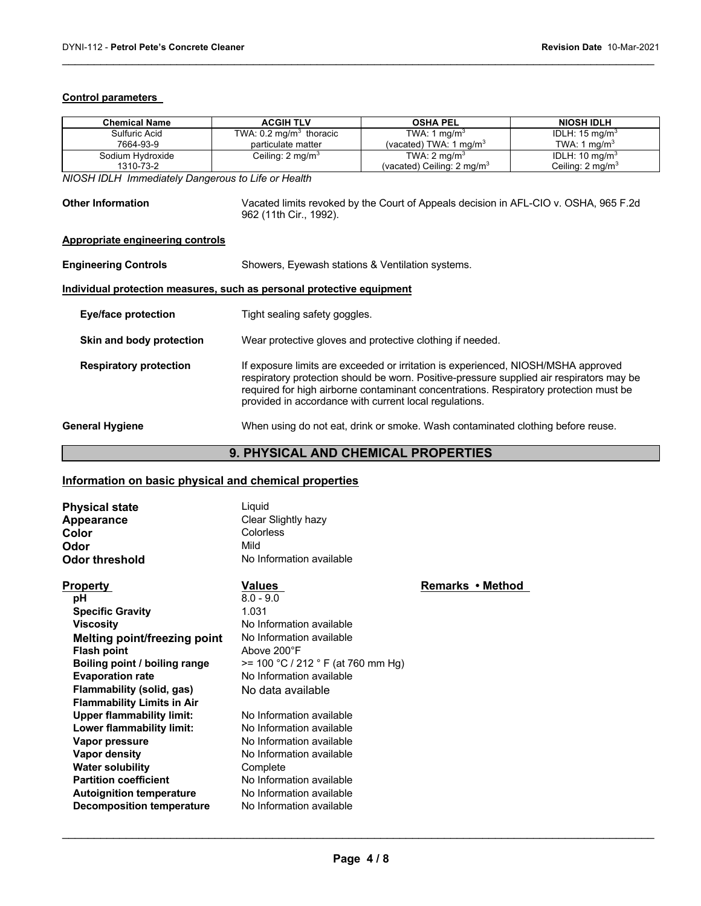# **Control parameters**

| Chemical Name    | <b>ACGIH TLV</b>                   | <b>OSHA PEL</b>                       | <b>NIOSH IDLH</b>           |
|------------------|------------------------------------|---------------------------------------|-----------------------------|
| Sulfuric Acid    | TWA: $0.2 \text{ mg/m}^3$ thoracic | TWA: 1 mg/m <sup>3</sup>              | IDLH: $15 \text{ mg/m}^3$   |
| 7664-93-9        | particulate matter                 | (vacated) TWA: 1 mg/m $3$             | TWA: 1 $ma/m3$              |
| Sodium Hydroxide | Ceiling: $2 \text{ mg/m}^3$        | TWA: $2 \text{ mg/m}^3$               | IDLH: $10 \text{ mg/m}^3$   |
| 1310-73-2        |                                    | (vacated) Ceiling: $2 \text{ mg/m}^3$ | Ceiling: $2 \text{ mg/m}^3$ |

 $\mathcal{L}_\mathcal{L} = \mathcal{L}_\mathcal{L} = \mathcal{L}_\mathcal{L} = \mathcal{L}_\mathcal{L} = \mathcal{L}_\mathcal{L} = \mathcal{L}_\mathcal{L} = \mathcal{L}_\mathcal{L} = \mathcal{L}_\mathcal{L} = \mathcal{L}_\mathcal{L} = \mathcal{L}_\mathcal{L} = \mathcal{L}_\mathcal{L} = \mathcal{L}_\mathcal{L} = \mathcal{L}_\mathcal{L} = \mathcal{L}_\mathcal{L} = \mathcal{L}_\mathcal{L} = \mathcal{L}_\mathcal{L} = \mathcal{L}_\mathcal{L}$ 

*NIOSH IDLH Immediately Dangerous to Life or Health* 

| <b>Other Information</b>                                              | Vacated limits revoked by the Court of Appeals decision in AFL-CIO v. OSHA, 965 F.2d<br>962 (11th Cir., 1992).                                                                                                                                                                                                                   |  |
|-----------------------------------------------------------------------|----------------------------------------------------------------------------------------------------------------------------------------------------------------------------------------------------------------------------------------------------------------------------------------------------------------------------------|--|
| Appropriate engineering controls                                      |                                                                                                                                                                                                                                                                                                                                  |  |
| <b>Engineering Controls</b>                                           | Showers, Eyewash stations & Ventilation systems.                                                                                                                                                                                                                                                                                 |  |
| Individual protection measures, such as personal protective equipment |                                                                                                                                                                                                                                                                                                                                  |  |
| Eye/face protection                                                   | Tight sealing safety goggles.                                                                                                                                                                                                                                                                                                    |  |
| Skin and body protection                                              | Wear protective gloves and protective clothing if needed.                                                                                                                                                                                                                                                                        |  |
| <b>Respiratory protection</b>                                         | If exposure limits are exceeded or irritation is experienced, NIOSH/MSHA approved<br>respiratory protection should be worn. Positive-pressure supplied air respirators may be<br>required for high airborne contaminant concentrations. Respiratory protection must be<br>provided in accordance with current local regulations. |  |
| <b>General Hygiene</b>                                                | When using do not eat, drink or smoke. Wash contaminated clothing before reuse.                                                                                                                                                                                                                                                  |  |

# **9. PHYSICAL AND CHEMICAL PROPERTIES**

# **Information on basic physical and chemical properties**

| <b>Physical state</b><br>Appearance<br>Color | Liauid<br>Clear Slightly hazy<br>Colorless |
|----------------------------------------------|--------------------------------------------|
| Odor                                         | Mild                                       |
| Odor threshold                               | No Information available                   |

| pН                                | $8.0 - 9$ |
|-----------------------------------|-----------|
| <b>Specific Gravity</b>           | 1.031     |
| <b>Viscosity</b>                  | No Inf    |
| Melting point/freezing point      | No Inf    |
| <b>Flash point</b>                | Above     |
| Boiling point / boiling range     | $>= 100$  |
| <b>Evaporation rate</b>           | No Inf    |
| Flammability (solid, gas)         | No da     |
| <b>Flammability Limits in Air</b> |           |
| <b>Upper flammability limit:</b>  | No Inf    |
| Lower flammability limit:         | No Inf    |
| Vapor pressure                    | No Inf    |
| Vapor density                     | No Inf    |
| <b>Water solubility</b>           | Comp      |
| <b>Partition coefficient</b>      | No Inf    |
| <b>Autoignition temperature</b>   | No Inf    |
| <b>Decomposition temperature</b>  | No Inf    |

**) - 9.0**<br>)31 **Information available Information available Flash point** Above 200°F **Boiling point / boiling range** >= 100 °C / 212 ° F (at 760 mm Hg) **Information available** data available

**Information available Information available Information available Information available mplete Information available Information available Information available** 

# **Property Values Values Remarks • Method**

**Page 4 / 8**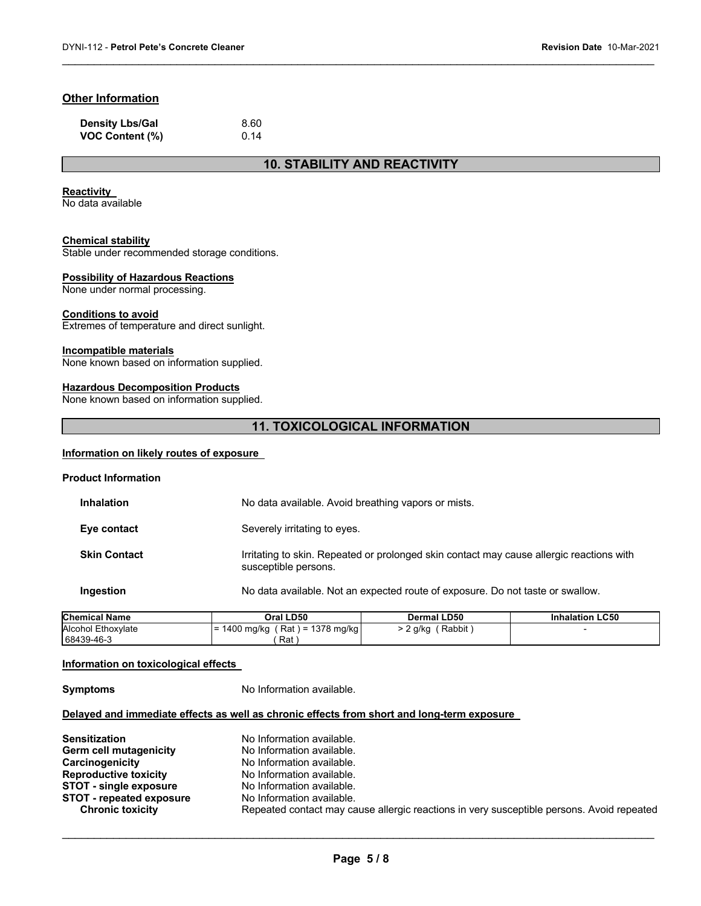# **Other Information**

| <b>Density Lbs/Gal</b> | 8.60 |
|------------------------|------|
| <b>VOC Content (%)</b> | 0.14 |

# **10. STABILITY AND REACTIVITY**

 $\mathcal{L}_\mathcal{L} = \mathcal{L}_\mathcal{L} = \mathcal{L}_\mathcal{L} = \mathcal{L}_\mathcal{L} = \mathcal{L}_\mathcal{L} = \mathcal{L}_\mathcal{L} = \mathcal{L}_\mathcal{L} = \mathcal{L}_\mathcal{L} = \mathcal{L}_\mathcal{L} = \mathcal{L}_\mathcal{L} = \mathcal{L}_\mathcal{L} = \mathcal{L}_\mathcal{L} = \mathcal{L}_\mathcal{L} = \mathcal{L}_\mathcal{L} = \mathcal{L}_\mathcal{L} = \mathcal{L}_\mathcal{L} = \mathcal{L}_\mathcal{L}$ 

#### **Reactivity**

No data available

#### **Chemical stability**

Stable under recommended storage conditions.

# **Possibility of Hazardous Reactions**

None under normal processing.

### **Conditions to avoid**

Extremes of temperature and direct sunlight.

#### **Incompatible materials**

None known based on information supplied.

# **Hazardous Decomposition Products**

None known based on information supplied.

# **11. TOXICOLOGICAL INFORMATION**

# **Information on likely routes of exposure**

| <b>Product Information</b> |                                                                                                                  |
|----------------------------|------------------------------------------------------------------------------------------------------------------|
| <b>Inhalation</b>          | No data available. Avoid breathing vapors or mists.                                                              |
| Eye contact                | Severely irritating to eyes.                                                                                     |
| <b>Skin Contact</b>        | Irritating to skin. Repeated or prolonged skin contact may cause allergic reactions with<br>susceptible persons. |
| Ingestion                  | No data available. Not an expected route of exposure. Do not taste or swallow.                                   |
|                            |                                                                                                                  |

| <b>Chemical Name</b>      | Oral LD50                               | <b>Dermal LD50</b> | <b>Inhalation LC50</b> |
|---------------------------|-----------------------------------------|--------------------|------------------------|
| <b>Alcohol Ethoxylate</b> | (Rat) = 1378 mg/kg<br>1400 mg/kg<br>- 1 | Rabbit<br>. q/kq   |                        |
| 68439-46-3                | Rat                                     |                    |                        |

#### **Information on toxicological effects**

**Symptoms** No Information available.

# **Delayed and immediate effects as well as chronic effects from short and long-term exposure**

| <b>Sensitization</b>            | No Information available.                                                                 |
|---------------------------------|-------------------------------------------------------------------------------------------|
| <b>Germ cell mutagenicity</b>   | No Information available.                                                                 |
| Carcinogenicity                 | No Information available.                                                                 |
| <b>Reproductive toxicity</b>    | No Information available.                                                                 |
| <b>STOT - single exposure</b>   | No Information available.                                                                 |
| <b>STOT</b> - repeated exposure | No Information available.                                                                 |
| <b>Chronic toxicity</b>         | Repeated contact may cause allergic reactions in very susceptible persons. Avoid repeated |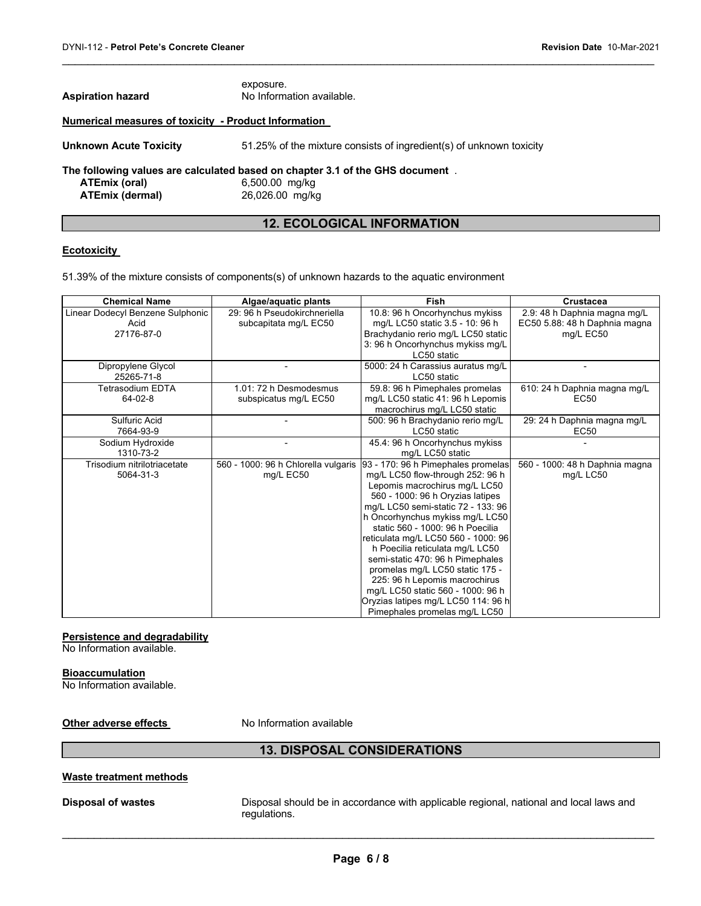| <b>Aspiration hazard</b>                             | exposure.<br>No Information available.                                                                             |  |  |
|------------------------------------------------------|--------------------------------------------------------------------------------------------------------------------|--|--|
| Numerical measures of toxicity - Product Information |                                                                                                                    |  |  |
| <b>Unknown Acute Toxicity</b>                        | 51.25% of the mixture consists of ingredient(s) of unknown toxicity                                                |  |  |
| ATEmix (oral)<br><b>ATEmix (dermal)</b>              | The following values are calculated based on chapter 3.1 of the GHS document.<br>6,500.00 mg/kg<br>26,026.00 mg/kg |  |  |

# **12. ECOLOGICAL INFORMATION**

 $\mathcal{L}_\mathcal{L} = \mathcal{L}_\mathcal{L} = \mathcal{L}_\mathcal{L} = \mathcal{L}_\mathcal{L} = \mathcal{L}_\mathcal{L} = \mathcal{L}_\mathcal{L} = \mathcal{L}_\mathcal{L} = \mathcal{L}_\mathcal{L} = \mathcal{L}_\mathcal{L} = \mathcal{L}_\mathcal{L} = \mathcal{L}_\mathcal{L} = \mathcal{L}_\mathcal{L} = \mathcal{L}_\mathcal{L} = \mathcal{L}_\mathcal{L} = \mathcal{L}_\mathcal{L} = \mathcal{L}_\mathcal{L} = \mathcal{L}_\mathcal{L}$ 

# **Ecotoxicity**

51.39% of the mixture consists of components(s) of unknown hazards to the aquatic environment

| <b>Chemical Name</b>             | Algae/aquatic plants                | <b>Fish</b>                         | Crustacea                      |
|----------------------------------|-------------------------------------|-------------------------------------|--------------------------------|
| Linear Dodecyl Benzene Sulphonic | 29: 96 h Pseudokirchneriella        | 10.8: 96 h Oncorhynchus mykiss      | 2.9: 48 h Daphnia magna mg/L   |
| Acid                             | subcapitata mg/L EC50               | mg/L LC50 static 3.5 - 10: 96 h     | EC50 5.88: 48 h Daphnia magna  |
| 27176-87-0                       |                                     | Brachydanio rerio mg/L LC50 static  | mg/L EC50                      |
|                                  |                                     | 3: 96 h Oncorhynchus mykiss mg/L    |                                |
|                                  |                                     | LC50 static                         |                                |
| Dipropylene Glycol               |                                     | 5000: 24 h Carassius auratus mg/L   |                                |
| 25265-71-8                       |                                     | LC50 static                         |                                |
| <b>Tetrasodium EDTA</b>          | 1.01: 72 h Desmodesmus              | 59.8: 96 h Pimephales promelas      | 610: 24 h Daphnia magna mg/L   |
| 64-02-8                          | subspicatus mg/L EC50               | mg/L LC50 static 41: 96 h Lepomis   | <b>EC50</b>                    |
|                                  |                                     | macrochirus mg/L LC50 static        |                                |
| Sulfuric Acid                    |                                     | 500: 96 h Brachydanio rerio mg/L    | 29: 24 h Daphnia magna mg/L    |
| 7664-93-9                        |                                     | LC50 static                         | <b>EC50</b>                    |
| Sodium Hydroxide                 |                                     | 45.4: 96 h Oncorhynchus mykiss      |                                |
| 1310-73-2                        |                                     | mg/L LC50 static                    |                                |
| Trisodium nitrilotriacetate      | 560 - 1000: 96 h Chlorella vulgaris | 93 - 170: 96 h Pimephales promelas  | 560 - 1000: 48 h Daphnia magna |
| 5064-31-3                        | mg/L EC50                           | mg/L LC50 flow-through 252: 96 h    | mg/L LC50                      |
|                                  |                                     | Lepomis macrochirus mg/L LC50       |                                |
|                                  |                                     | 560 - 1000: 96 h Oryzias latipes    |                                |
|                                  |                                     | mg/L LC50 semi-static 72 - 133: 96  |                                |
|                                  |                                     | h Oncorhynchus mykiss mg/L LC50     |                                |
|                                  |                                     | static 560 - 1000: 96 h Poecilia    |                                |
|                                  |                                     | reticulata mg/L LC50 560 - 1000: 96 |                                |
|                                  |                                     | h Poecilia reticulata mg/L LC50     |                                |
|                                  |                                     | semi-static 470: 96 h Pimephales    |                                |
|                                  |                                     | promelas mg/L LC50 static 175 -     |                                |
|                                  |                                     | 225: 96 h Lepomis macrochirus       |                                |
|                                  |                                     | mg/L LC50 static 560 - 1000: 96 h   |                                |
|                                  |                                     | Oryzias latipes mg/L LC50 114: 96 h |                                |
|                                  |                                     | Pimephales promelas mg/L LC50       |                                |

# **Persistence and degradability**

No Information available.

# **Bioaccumulation**

No Information available.

**Other adverse effects** No Information available

# **13. DISPOSAL CONSIDERATIONS**

# **Waste treatment methods**

**Disposal of wastes** Disposal should be in accordance with applicable regional, national and local laws and regulations.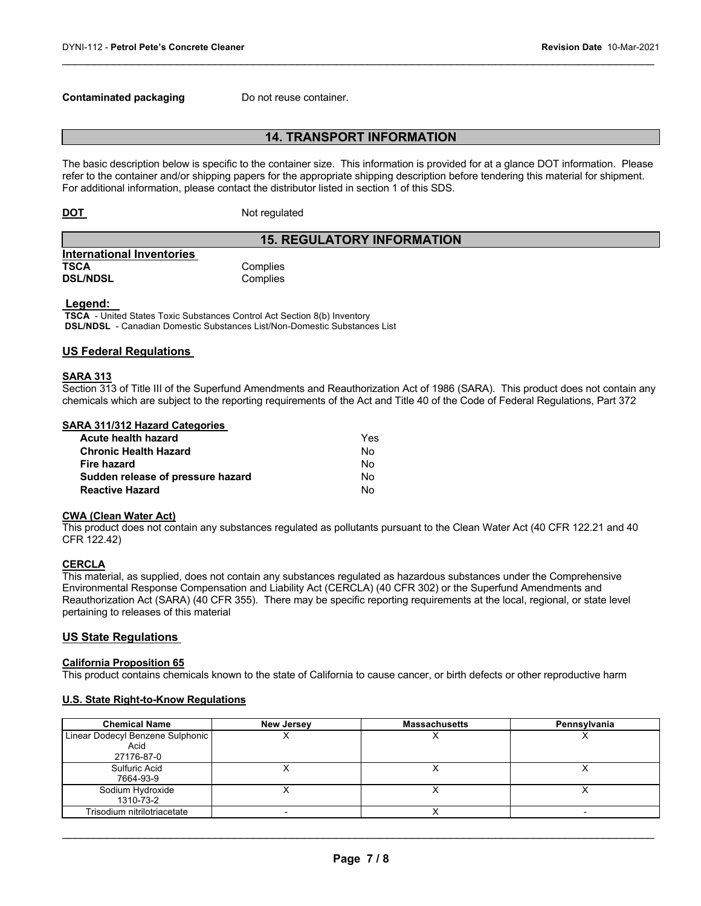### **Contaminated packaging Theory Do not reuse container.**

# **14. TRANSPORT INFORMATION**

 $\mathcal{L}_\mathcal{L} = \mathcal{L}_\mathcal{L} = \mathcal{L}_\mathcal{L} = \mathcal{L}_\mathcal{L} = \mathcal{L}_\mathcal{L} = \mathcal{L}_\mathcal{L} = \mathcal{L}_\mathcal{L} = \mathcal{L}_\mathcal{L} = \mathcal{L}_\mathcal{L} = \mathcal{L}_\mathcal{L} = \mathcal{L}_\mathcal{L} = \mathcal{L}_\mathcal{L} = \mathcal{L}_\mathcal{L} = \mathcal{L}_\mathcal{L} = \mathcal{L}_\mathcal{L} = \mathcal{L}_\mathcal{L} = \mathcal{L}_\mathcal{L}$ 

The basic description below is specific to the container size. This information is provided for at a glance DOT information. Please refer to the container and/or shipping papers for the appropriate shipping description before tendering this material for shipment. For additional information, please contact the distributor listed in section 1 of this SDS.

**DOT** Not regulated

# **15. REGULATORY INFORMATION**

| <b>International Inventories</b> |          |  |
|----------------------------------|----------|--|
| TSCA                             | Complies |  |
| <b>DSL/NDSL</b>                  | Complies |  |

**Legend:** Intertal States Toxic Substances Control Act Section 8(b) Inventory **DSL/NDSL** - Canadian Domestic Substances List/Non-Domestic Substances List

# **US Federal Regulations**

#### **SARA 313**

Section 313 of Title III of the Superfund Amendments and Reauthorization Act of 1986 (SARA). This product does not contain any chemicals which are subject to the reporting requirements of the Act and Title 40 of the Code of Federal Regulations, Part 372

### **SARA 311/312 Hazard Categories**

| Acute health hazard               | Yes |
|-----------------------------------|-----|
| Chronic Health Hazard             | N٥  |
| Fire hazard                       | N٥  |
| Sudden release of pressure hazard | N٥  |
| Reactive Hazard                   | N٥  |

#### **CWA (Clean Water Act)**

This product does not contain any substances regulated as pollutants pursuant to the Clean Water Act (40 CFR 122.21 and 40 CFR 122.42)

#### **CERCLA**

This material, as supplied, does not contain any substances regulated as hazardous substances under the Comprehensive Environmental Response Compensation and Liability Act (CERCLA) (40 CFR 302) or the Superfund Amendments and Reauthorization Act (SARA) (40 CFR 355). There may be specific reporting requirements at the local, regional, or state level pertaining to releases of this material

# **US State Regulations**

#### **California Proposition 65**

This product contains chemicals known to the state of California to cause cancer, or birth defects or other reproductive harm

# **U.S. State Right-to-Know Regulations**

| <b>Chemical Name</b>             | <b>New Jersey</b> | <b>Massachusetts</b> | Pennsylvania |
|----------------------------------|-------------------|----------------------|--------------|
| Linear Dodecyl Benzene Sulphonic |                   |                      |              |
| Acid                             |                   |                      |              |
| 27176-87-0                       |                   |                      |              |
| Sulfuric Acid                    |                   |                      |              |
| 7664-93-9                        |                   |                      |              |
| Sodium Hydroxide                 |                   |                      |              |
| 1310-73-2                        |                   |                      |              |
| Trisodium nitrilotriacetate      |                   |                      |              |